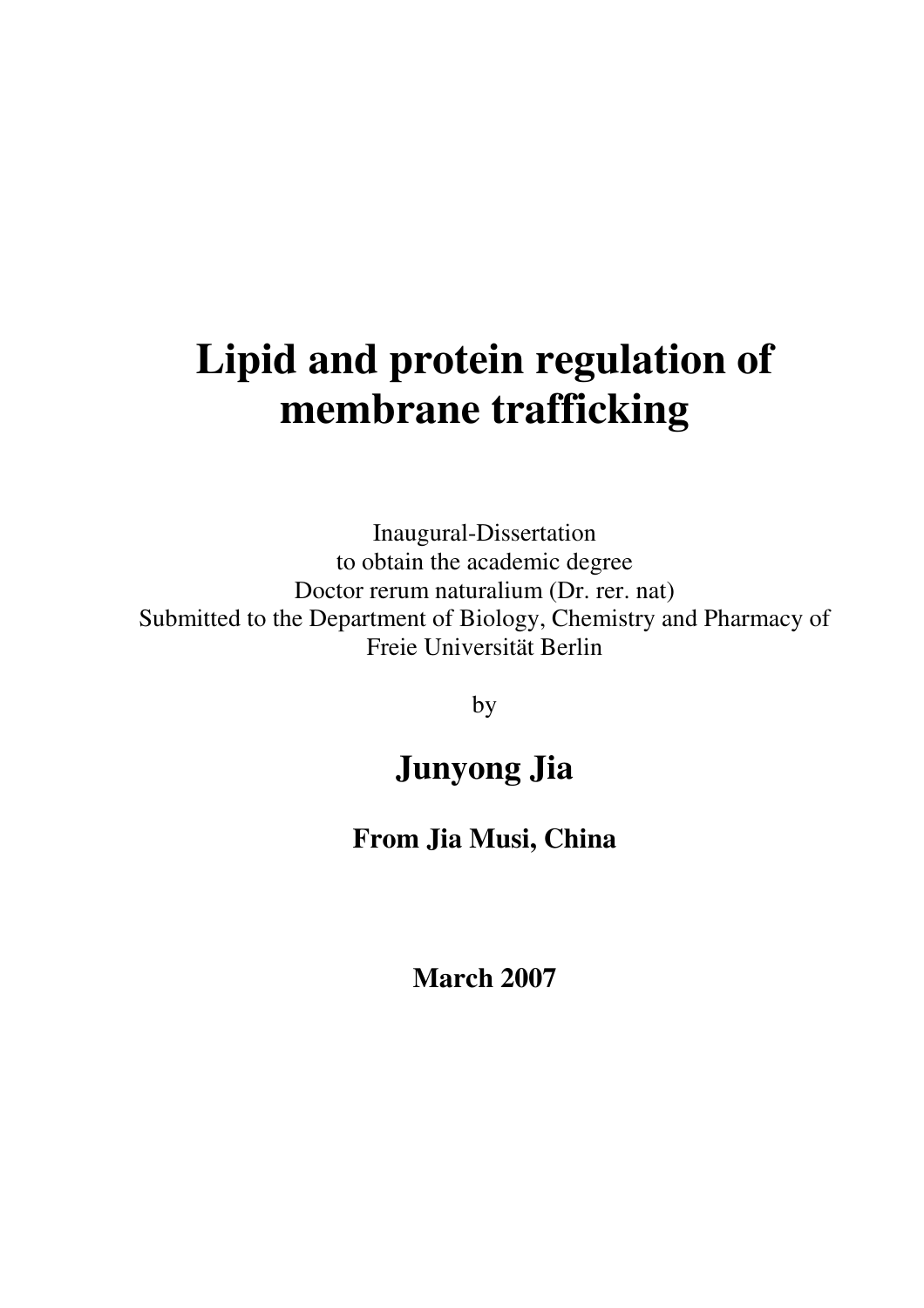# **Lipid and protein regulation of membrane trafficking**

Inaugural-Dissertation to obtain the academic degree Doctor rerum naturalium (Dr. rer. nat) Submitted to the Department of Biology, Chemistry and Pharmacy of Freie Universität Berlin

by

# **Junyong Jia**

#### **From Jia Musi, China**

**March 2007**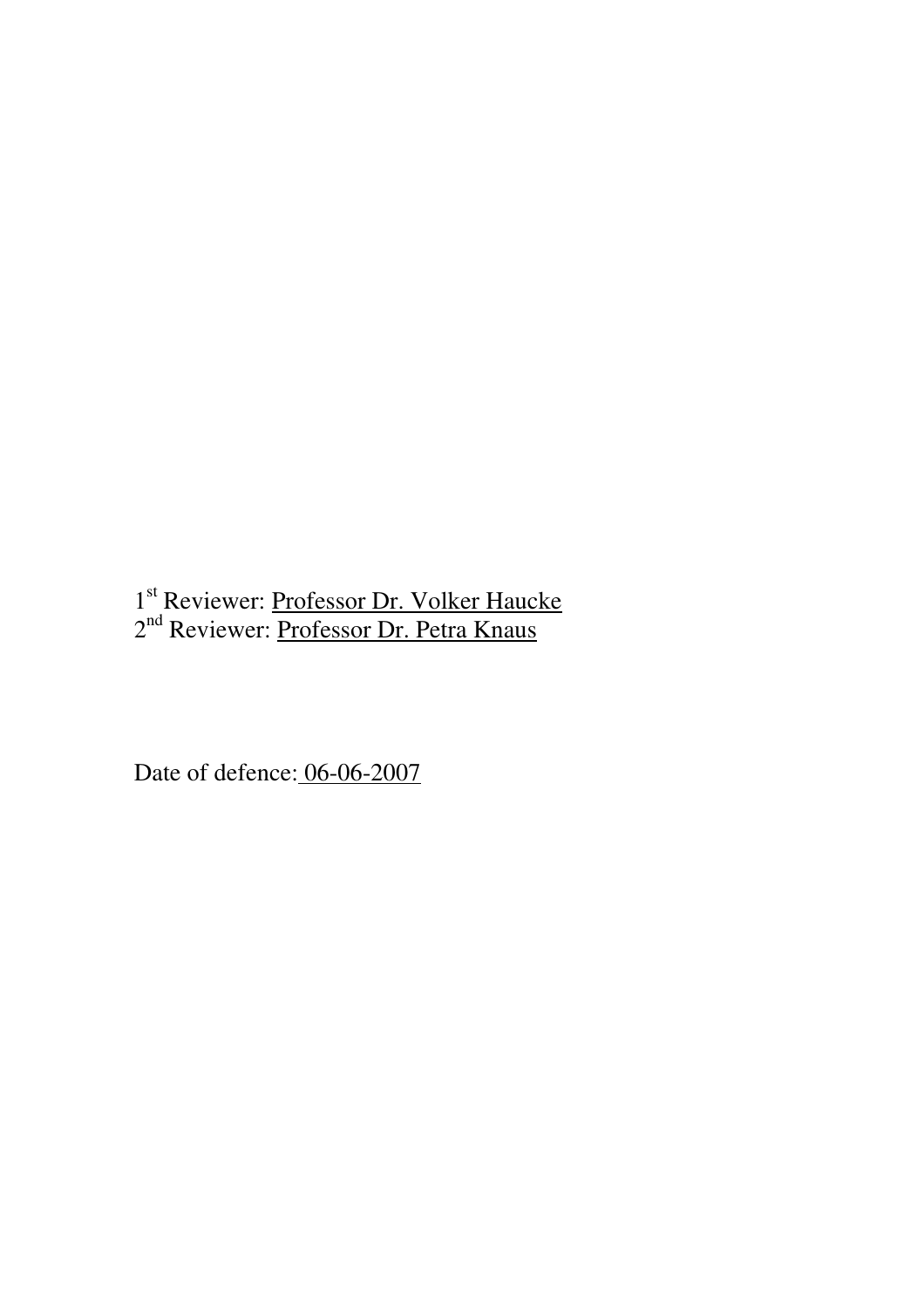1<sup>st</sup> Reviewer: Professor Dr. Volker Haucke 2<sup>nd</sup> Reviewer: <u>Professor Dr. Petra Knaus</u>

Date of defence: 06-06-2007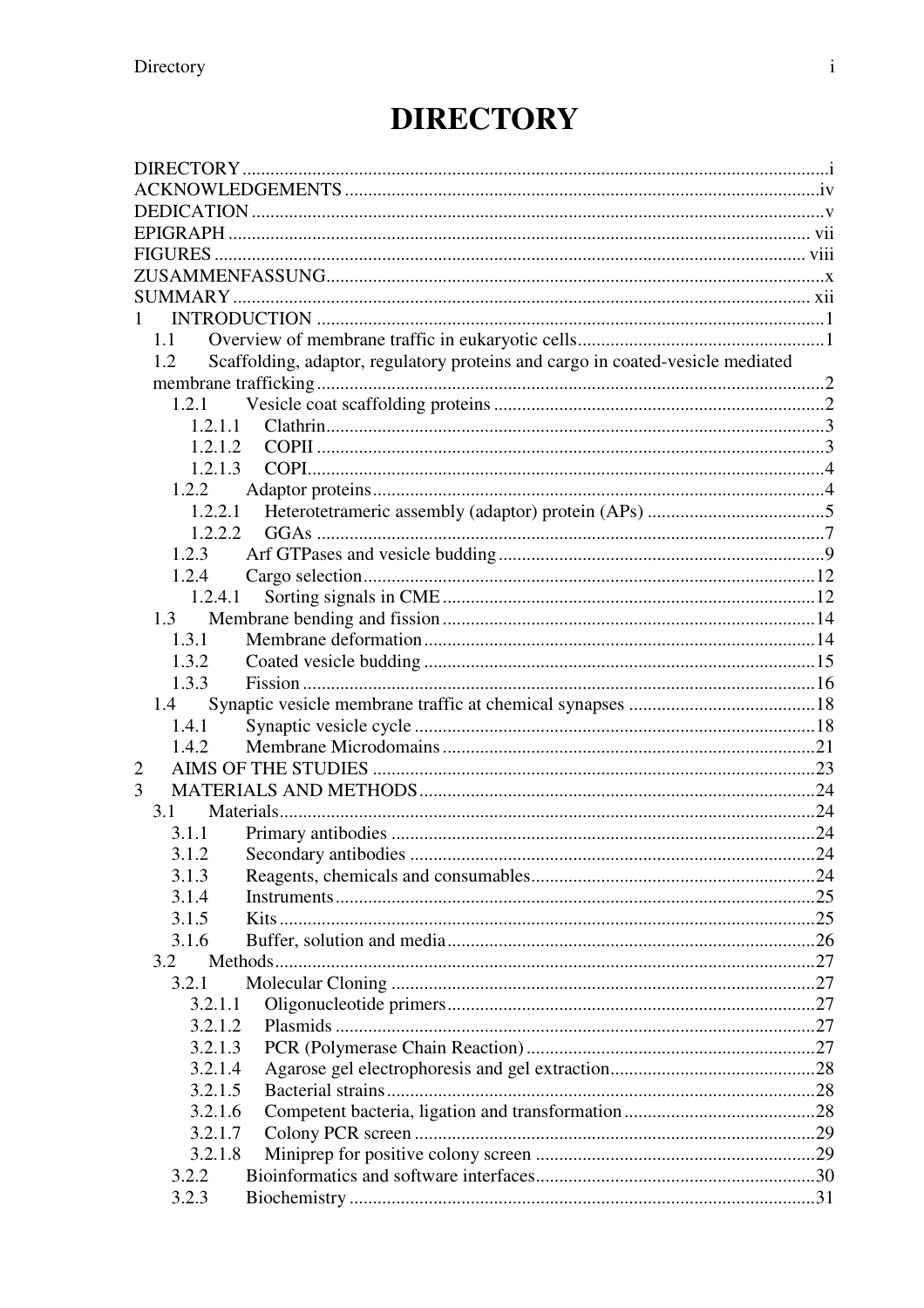# **DIRECTORY**

| 1                  |                                                                                |  |
|--------------------|--------------------------------------------------------------------------------|--|
| 1.1                |                                                                                |  |
| 1.2                | Scaffolding, adaptor, regulatory proteins and cargo in coated-vesicle mediated |  |
|                    |                                                                                |  |
| 1.2.1              |                                                                                |  |
| 1.2.1.1            |                                                                                |  |
| 1.2.1.2            |                                                                                |  |
| 1.2.1.3            |                                                                                |  |
| 1.2.2              |                                                                                |  |
| 1.2.2.1<br>1.2.2.2 |                                                                                |  |
| 1.2.3              |                                                                                |  |
| 1.2.4              |                                                                                |  |
| 1.2.4.1            |                                                                                |  |
| 1.3                |                                                                                |  |
| 1.3.1              |                                                                                |  |
| 1.3.2              |                                                                                |  |
| 1.3.3              |                                                                                |  |
| 1.4                |                                                                                |  |
| 1.4.1              |                                                                                |  |
| 1.4.2              |                                                                                |  |
| 2                  |                                                                                |  |
| 3                  |                                                                                |  |
| 3.1                |                                                                                |  |
| 3.1.1              |                                                                                |  |
|                    |                                                                                |  |
| 3.1.3              |                                                                                |  |
| 3.1.4              |                                                                                |  |
| 3.1.5              |                                                                                |  |
| 3.1.6              |                                                                                |  |
| 3.2                |                                                                                |  |
| 3.2.1              |                                                                                |  |
| 3.2.1.1<br>3.2.1.2 |                                                                                |  |
| 3.2.1.3            |                                                                                |  |
| 3.2.1.4            |                                                                                |  |
| 3.2.1.5            |                                                                                |  |
| 3.2.1.6            |                                                                                |  |
| 3.2.1.7            |                                                                                |  |
| 3.2.1.8            |                                                                                |  |
| 3.2.2              |                                                                                |  |
| 3.2.3              |                                                                                |  |
|                    |                                                                                |  |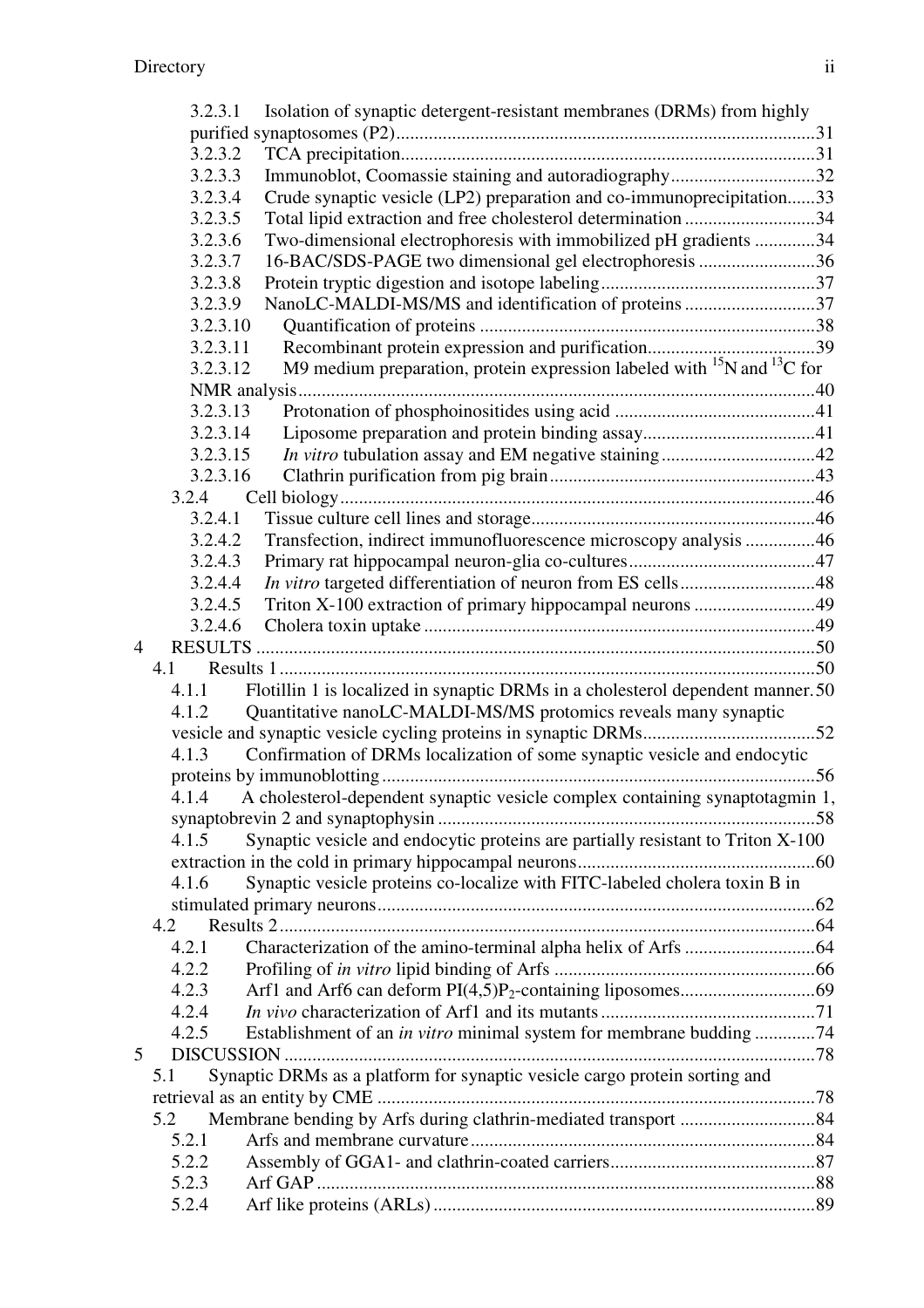|   | 3.2.3.1  | Isolation of synaptic detergent-resistant membranes (DRMs) from highly             |  |
|---|----------|------------------------------------------------------------------------------------|--|
|   |          |                                                                                    |  |
|   | 3.2.3.2  |                                                                                    |  |
|   | 3.2.3.3  | Immunoblot, Coomassie staining and autoradiography32                               |  |
|   | 3.2.3.4  | Crude synaptic vesicle (LP2) preparation and co-immunoprecipitation33              |  |
|   | 3.2.3.5  | Total lipid extraction and free cholesterol determination 34                       |  |
|   | 3.2.3.6  | Two-dimensional electrophoresis with immobilized pH gradients 34                   |  |
|   | 3.2.3.7  | 16-BAC/SDS-PAGE two dimensional gel electrophoresis 36                             |  |
|   | 3.2.3.8  |                                                                                    |  |
|   | 3.2.3.9  | NanoLC-MALDI-MS/MS and identification of proteins 37                               |  |
|   | 3.2.3.10 |                                                                                    |  |
|   | 3.2.3.11 |                                                                                    |  |
|   | 3.2.3.12 | M9 medium preparation, protein expression labeled with $^{15}N$ and $^{13}C$ for   |  |
|   |          |                                                                                    |  |
|   | 3.2.3.13 |                                                                                    |  |
|   | 3.2.3.14 |                                                                                    |  |
|   | 3.2.3.15 |                                                                                    |  |
|   | 3.2.3.16 |                                                                                    |  |
|   | 3.2.4    |                                                                                    |  |
|   | 3.2.4.1  |                                                                                    |  |
|   | 3.2.4.2  | Transfection, indirect immunofluorescence microscopy analysis 46                   |  |
|   | 3.2.4.3  |                                                                                    |  |
|   | 3.2.4.4  | In vitro targeted differentiation of neuron from ES cells48                        |  |
|   | 3.2.4.5  | Triton X-100 extraction of primary hippocampal neurons 49                          |  |
|   | 3.2.4.6  |                                                                                    |  |
| 4 |          |                                                                                    |  |
|   | 4.1      |                                                                                    |  |
|   | 4.1.1    | Flotillin 1 is localized in synaptic DRMs in a cholesterol dependent manner.50     |  |
|   | 4.1.2    | Quantitative nanoLC-MALDI-MS/MS protomics reveals many synaptic                    |  |
|   |          |                                                                                    |  |
|   | 4.1.3    | Confirmation of DRMs localization of some synaptic vesicle and endocytic           |  |
|   |          |                                                                                    |  |
|   |          | 4.1.4 A cholesterol-dependent synaptic vesicle complex containing synaptotagmin 1, |  |
|   |          |                                                                                    |  |
|   | 4.1.5    | Synaptic vesicle and endocytic proteins are partially resistant to Triton X-100    |  |
|   |          |                                                                                    |  |
|   | 4.1.6    | Synaptic vesicle proteins co-localize with FITC-labeled cholera toxin B in         |  |
|   |          |                                                                                    |  |
|   | 4.2      |                                                                                    |  |
|   | 4.2.1    |                                                                                    |  |
|   | 4.2.2    |                                                                                    |  |
|   | 4.2.3    |                                                                                    |  |
|   | 4.2.4    |                                                                                    |  |
|   | 4.2.5    | Establishment of an <i>in vitro</i> minimal system for membrane budding 74         |  |
| 5 |          |                                                                                    |  |
|   | 5.1      | Synaptic DRMs as a platform for synaptic vesicle cargo protein sorting and         |  |
|   |          |                                                                                    |  |
|   | 5.2      |                                                                                    |  |
|   | 5.2.1    |                                                                                    |  |
|   | 5.2.2    |                                                                                    |  |
|   | 5.2.3    |                                                                                    |  |
|   | 5.2.4    |                                                                                    |  |
|   |          |                                                                                    |  |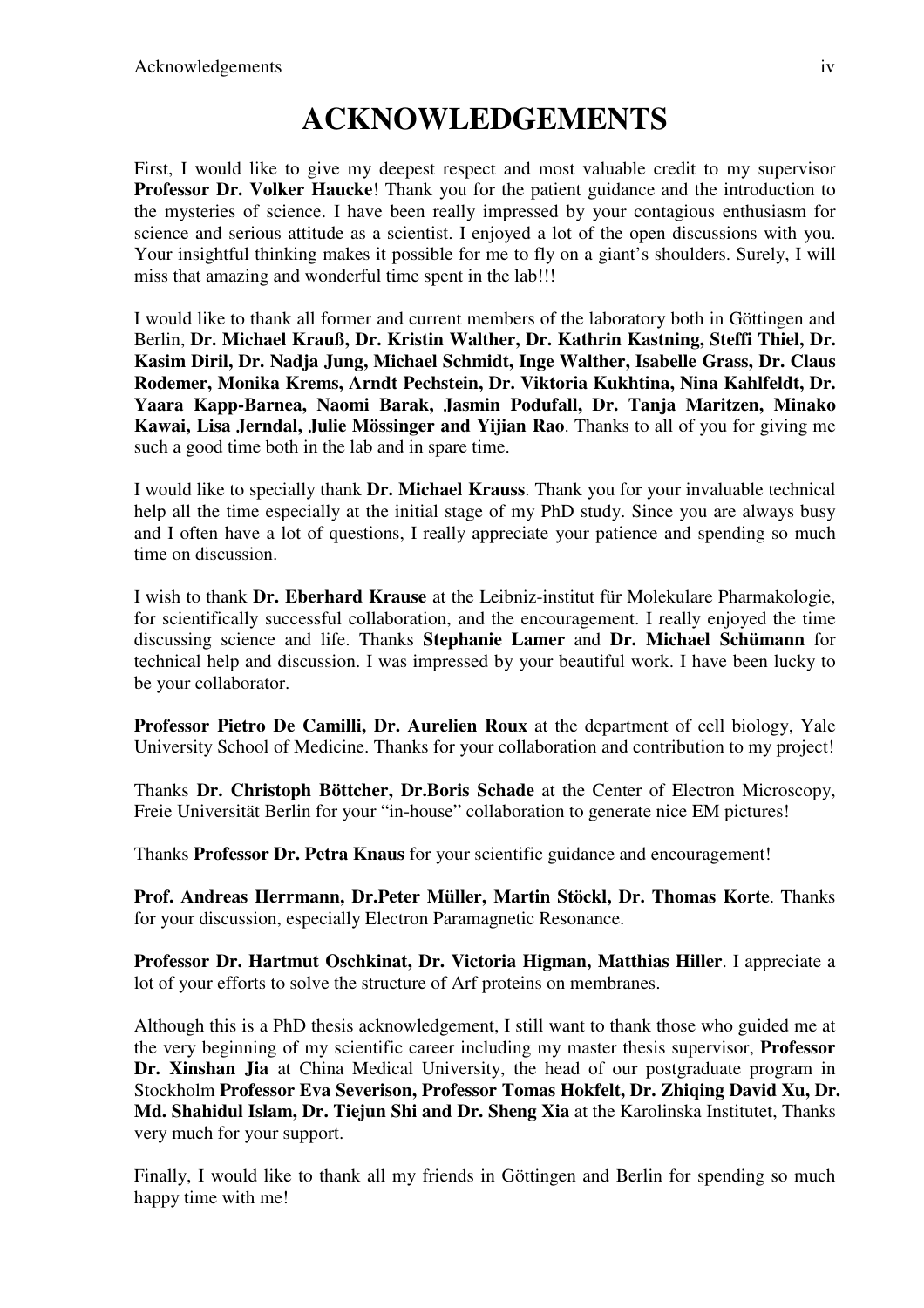### **ACKNOWLEDGEMENTS**

First, I would like to give my deepest respect and most valuable credit to my supervisor **Professor Dr. Volker Haucke!** Thank you for the patient guidance and the introduction to the mysteries of science. I have been really impressed by your contagious enthusiasm for science and serious attitude as a scientist. I enjoyed a lot of the open discussions with you. Your insightful thinking makes it possible for me to fly on a giant's shoulders. Surely, I will miss that amazing and wonderful time spent in the lab!!!

I would like to thank all former and current members of the laboratory both in Göttingen and Berlin, **Dr. Michael Krauß, Dr. Kristin Walther, Dr. Kathrin Kastning, Steffi Thiel, Dr. Kasim Diril, Dr. Nadja Jung, Michael Schmidt, Inge Walther, Isabelle Grass, Dr. Claus Rodemer, Monika Krems, Arndt Pechstein, Dr. Viktoria Kukhtina, Nina Kahlfeldt, Dr. Yaara Kapp-Barnea, Naomi Barak, Jasmin Podufall, Dr. Tanja Maritzen, Minako Kawai, Lisa Jerndal, Julie Mössinger and Yijian Rao**. Thanks to all of you for giving me such a good time both in the lab and in spare time.

I would like to specially thank **Dr. Michael Krauss**. Thank you for your invaluable technical help all the time especially at the initial stage of my PhD study. Since you are always busy and I often have a lot of questions, I really appreciate your patience and spending so much time on discussion.

I wish to thank **Dr. Eberhard Krause** at the Leibniz-institut für Molekulare Pharmakologie, for scientifically successful collaboration, and the encouragement. I really enjoyed the time discussing science and life. Thanks **Stephanie Lamer** and **Dr. Michael Schümann** for technical help and discussion. I was impressed by your beautiful work. I have been lucky to be your collaborator.

**Professor Pietro De Camilli, Dr. Aurelien Roux** at the department of cell biology, Yale University School of Medicine. Thanks for your collaboration and contribution to my project!

Thanks **Dr. Christoph Böttcher, Dr.Boris Schade** at the Center of Electron Microscopy, Freie Universität Berlin for your "in-house" collaboration to generate nice EM pictures!

Thanks **Professor Dr. Petra Knaus** for your scientific guidance and encouragement!

**Prof. Andreas Herrmann, Dr.Peter Müller, Martin Stöckl, Dr. Thomas Korte**. Thanks for your discussion, especially Electron Paramagnetic Resonance.

**Professor Dr. Hartmut Oschkinat, Dr. Victoria Higman, Matthias Hiller**. I appreciate a lot of your efforts to solve the structure of Arf proteins on membranes.

Although this is a PhD thesis acknowledgement, I still want to thank those who guided me at the very beginning of my scientific career including my master thesis supervisor, **Professor Dr. Xinshan Jia** at China Medical University, the head of our postgraduate program in Stockholm **Professor Eva Severison, Professor Tomas Hokfelt, Dr. Zhiqing David Xu, Dr. Md. Shahidul Islam, Dr. Tiejun Shi and Dr. Sheng Xia** at the Karolinska Institutet, Thanks very much for your support.

Finally, I would like to thank all my friends in Göttingen and Berlin for spending so much happy time with me!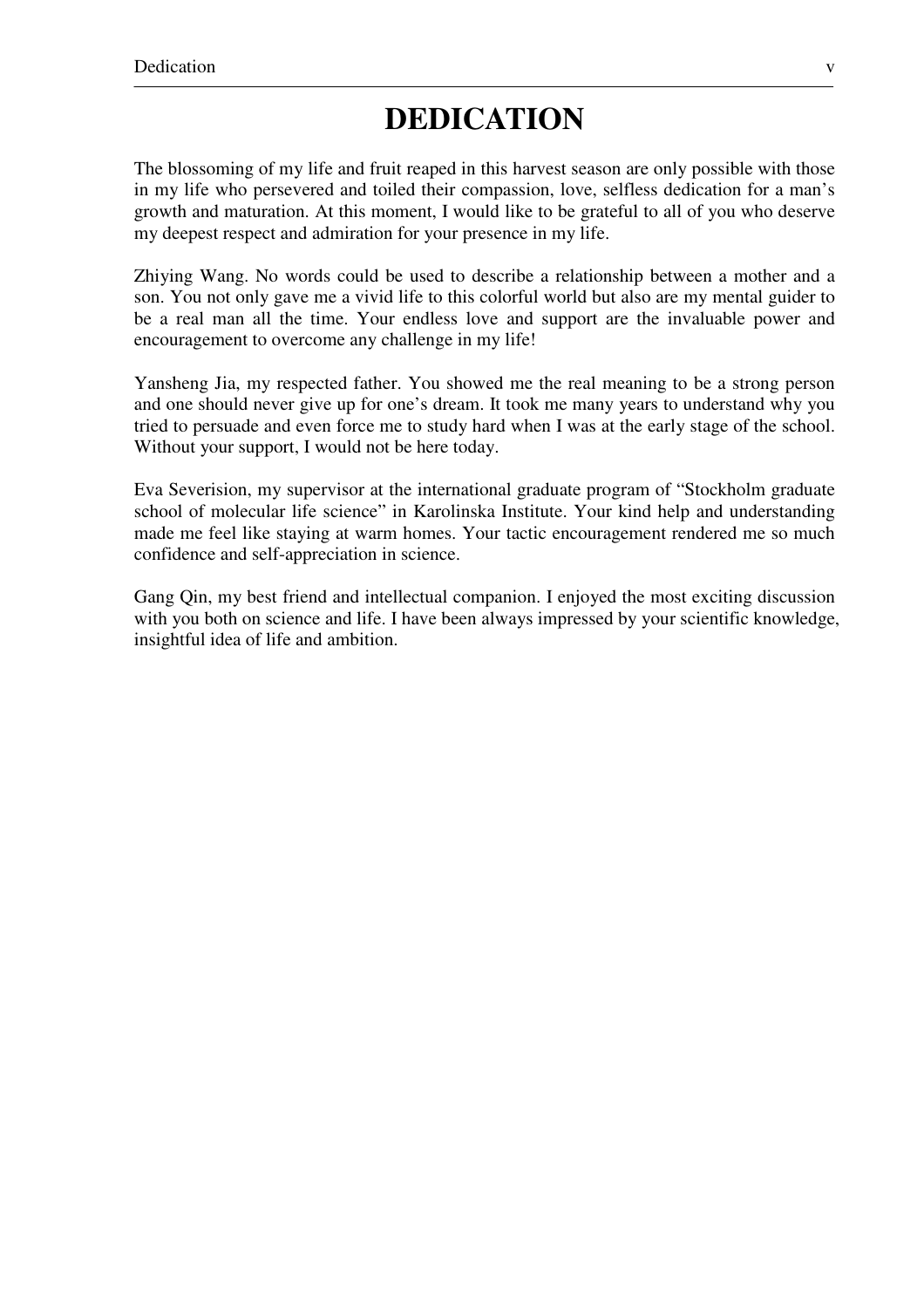#### **DEDICATION**

The blossoming of my life and fruit reaped in this harvest season are only possible with those in my life who persevered and toiled their compassion, love, selfless dedication for a man's growth and maturation. At this moment, I would like to be grateful to all of you who deserve my deepest respect and admiration for your presence in my life.

Zhiying Wang. No words could be used to describe a relationship between a mother and a son. You not only gave me a vivid life to this colorful world but also are my mental guider to be a real man all the time. Your endless love and support are the invaluable power and encouragement to overcome any challenge in my life!

Yansheng Jia, my respected father. You showed me the real meaning to be a strong person and one should never give up for one's dream. It took me many years to understand why you tried to persuade and even force me to study hard when I was at the early stage of the school. Without your support, I would not be here today.

Eva Severision, my supervisor at the international graduate program of "Stockholm graduate school of molecular life science" in Karolinska Institute. Your kind help and understanding made me feel like staying at warm homes. Your tactic encouragement rendered me so much confidence and self-appreciation in science.

Gang Qin, my best friend and intellectual companion. I enjoyed the most exciting discussion with you both on science and life. I have been always impressed by your scientific knowledge, insightful idea of life and ambition.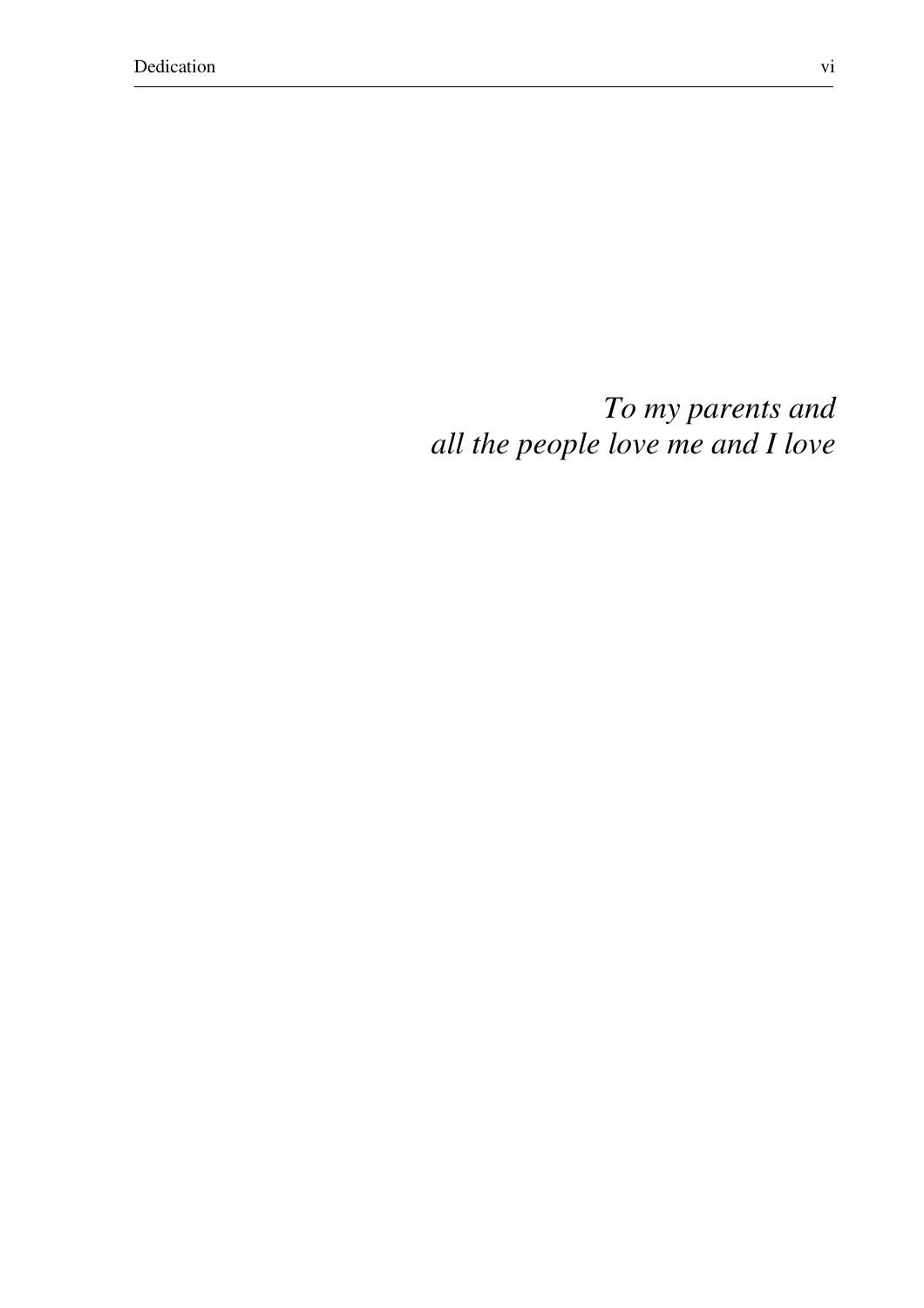*To my parents and all the people love me and I love*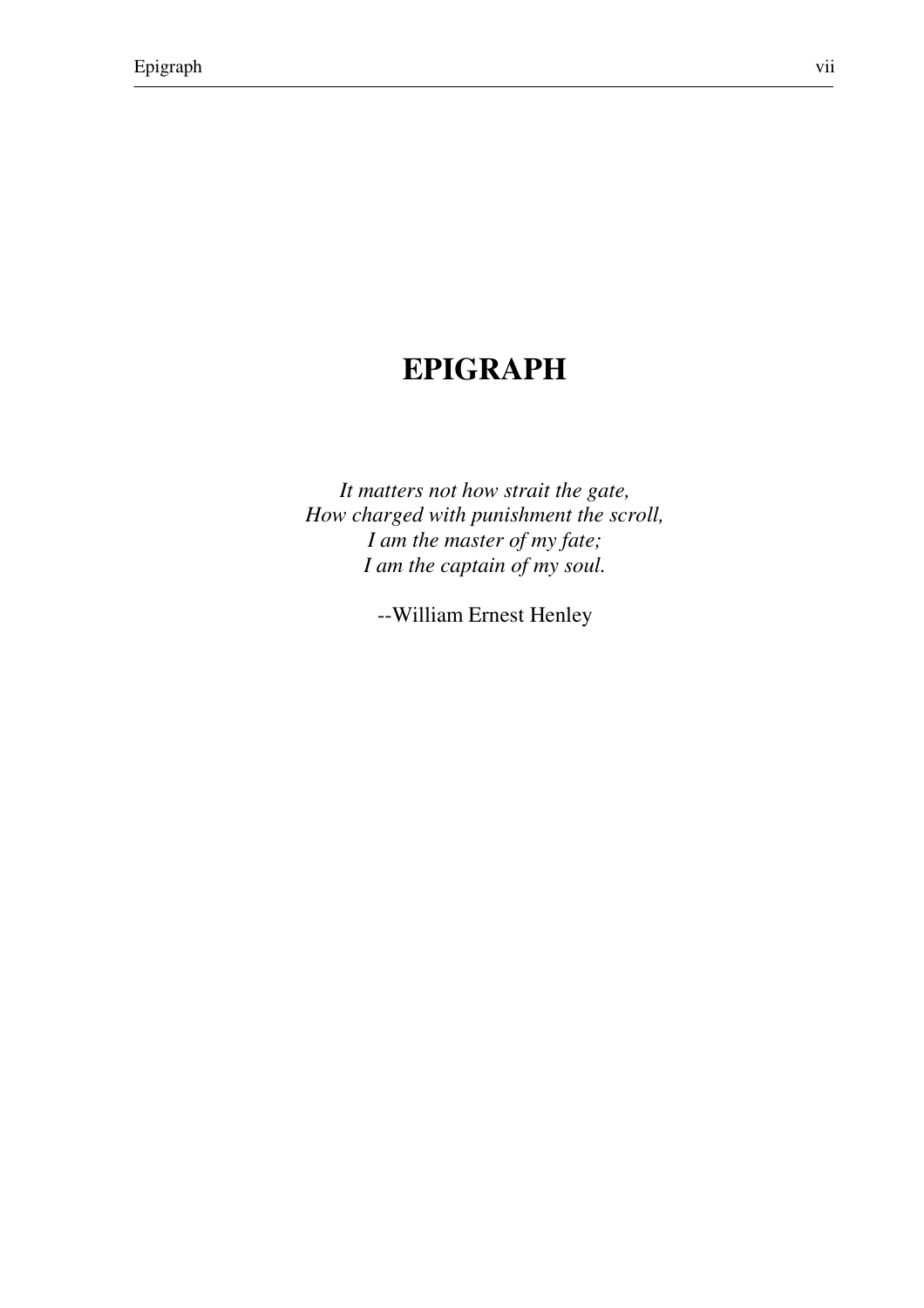### **EPIGRAPH**

*It matters not how strait the gate, How charged with punishment the scroll, I am the master of my fate; I am the captain of my soul.* 

--William Ernest Henley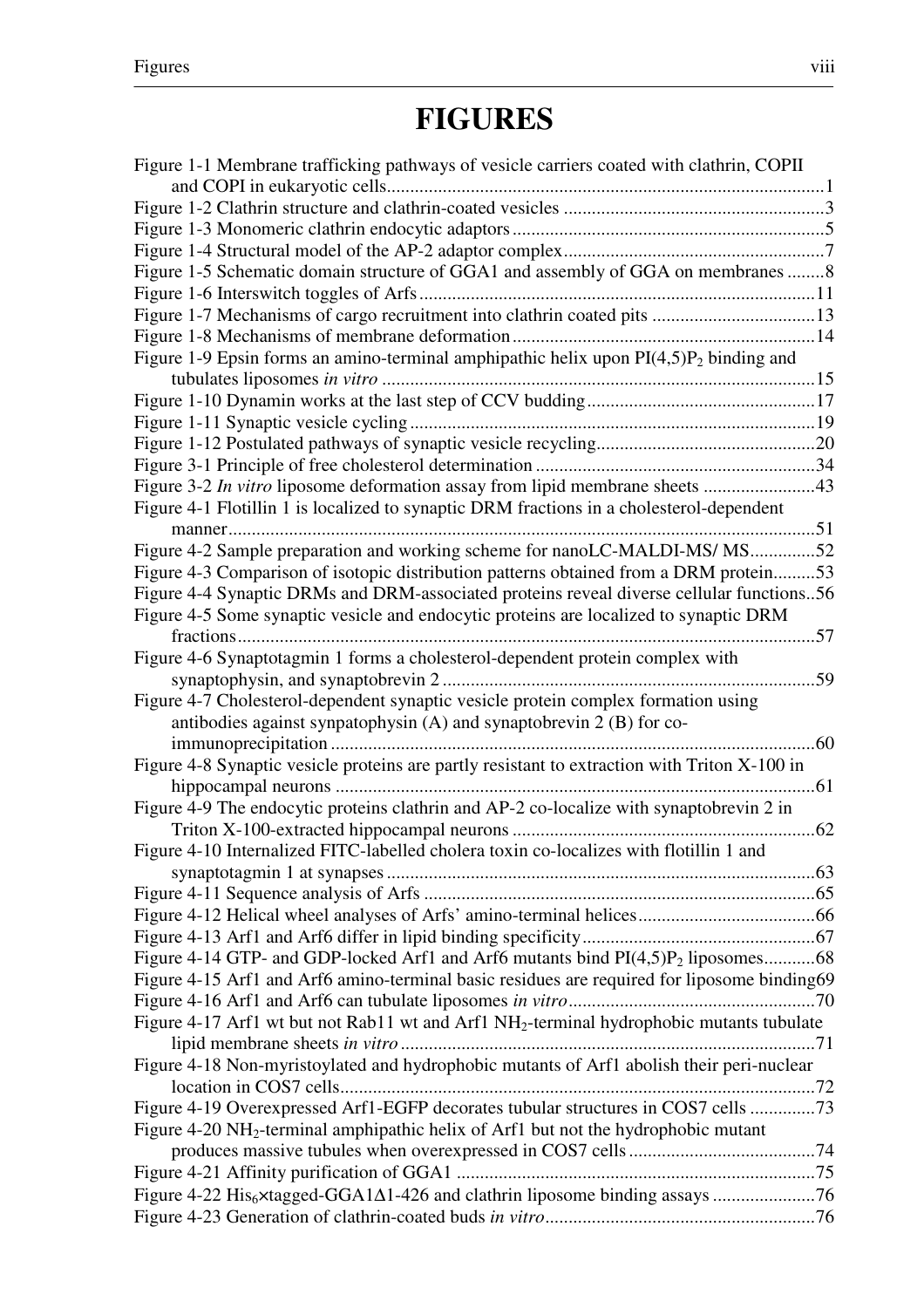# **FIGURES**

| Figure 1-1 Membrane trafficking pathways of vesicle carriers coated with clathrin, COPII<br>Figure 1-5 Schematic domain structure of GGA1 and assembly of GGA on membranes 8<br>Figure 1-7 Mechanisms of cargo recruitment into clathrin coated pits 13<br>Figure 1-9 Epsin forms an amino-terminal amphipathic helix upon $PI(4,5)P_2$ binding and<br>Figure 3-2 In vitro liposome deformation assay from lipid membrane sheets 43<br>Figure 4-1 Flotillin 1 is localized to synaptic DRM fractions in a cholesterol-dependent<br>manner<br>Figure 4-2 Sample preparation and working scheme for nanoLC-MALDI-MS/MS52<br>Figure 4-3 Comparison of isotopic distribution patterns obtained from a DRM protein53<br>Figure 4-4 Synaptic DRMs and DRM-associated proteins reveal diverse cellular functions56<br>Figure 4-5 Some synaptic vesicle and endocytic proteins are localized to synaptic DRM<br>Figure 4-6 Synaptotagmin 1 forms a cholesterol-dependent protein complex with<br>Figure 4-7 Cholesterol-dependent synaptic vesicle protein complex formation using<br>antibodies against synpatophysin (A) and synaptobrevin 2 (B) for co-<br>$\dots 60$<br>Figure 4-8 Synaptic vesicle proteins are partly resistant to extraction with Triton X-100 in<br>61<br>Figure 4-9 The endocytic proteins clathrin and AP-2 co-localize with synaptobrevin 2 in<br>Figure 4-10 Internalized FITC-labelled cholera toxin co-localizes with flotillin 1 and<br>Figure 4-14 GTP- and GDP-locked Arf1 and Arf6 mutants bind $PI(4,5)P_2$ liposomes68<br>Figure 4-15 Arf1 and Arf6 amino-terminal basic residues are required for liposome binding69<br>Figure 4-17 Arf1 wt but not Rab11 wt and Arf1 NH <sub>2</sub> -terminal hydrophobic mutants tubulate<br>Figure 4-18 Non-myristoylated and hydrophobic mutants of Arf1 abolish their peri-nuclear<br>Figure 4-19 Overexpressed Arf1-EGFP decorates tubular structures in COS7 cells 73<br>Figure 4-20 NH <sub>2</sub> -terminal amphipathic helix of Arf1 but not the hydrophobic mutant |  |
|----------------------------------------------------------------------------------------------------------------------------------------------------------------------------------------------------------------------------------------------------------------------------------------------------------------------------------------------------------------------------------------------------------------------------------------------------------------------------------------------------------------------------------------------------------------------------------------------------------------------------------------------------------------------------------------------------------------------------------------------------------------------------------------------------------------------------------------------------------------------------------------------------------------------------------------------------------------------------------------------------------------------------------------------------------------------------------------------------------------------------------------------------------------------------------------------------------------------------------------------------------------------------------------------------------------------------------------------------------------------------------------------------------------------------------------------------------------------------------------------------------------------------------------------------------------------------------------------------------------------------------------------------------------------------------------------------------------------------------------------------------------------------------------------------------------------------------------------------------------------------------------------------------------------------------------------------------------------------------------------------------------------------------------------|--|
|                                                                                                                                                                                                                                                                                                                                                                                                                                                                                                                                                                                                                                                                                                                                                                                                                                                                                                                                                                                                                                                                                                                                                                                                                                                                                                                                                                                                                                                                                                                                                                                                                                                                                                                                                                                                                                                                                                                                                                                                                                              |  |
|                                                                                                                                                                                                                                                                                                                                                                                                                                                                                                                                                                                                                                                                                                                                                                                                                                                                                                                                                                                                                                                                                                                                                                                                                                                                                                                                                                                                                                                                                                                                                                                                                                                                                                                                                                                                                                                                                                                                                                                                                                              |  |
|                                                                                                                                                                                                                                                                                                                                                                                                                                                                                                                                                                                                                                                                                                                                                                                                                                                                                                                                                                                                                                                                                                                                                                                                                                                                                                                                                                                                                                                                                                                                                                                                                                                                                                                                                                                                                                                                                                                                                                                                                                              |  |
|                                                                                                                                                                                                                                                                                                                                                                                                                                                                                                                                                                                                                                                                                                                                                                                                                                                                                                                                                                                                                                                                                                                                                                                                                                                                                                                                                                                                                                                                                                                                                                                                                                                                                                                                                                                                                                                                                                                                                                                                                                              |  |
|                                                                                                                                                                                                                                                                                                                                                                                                                                                                                                                                                                                                                                                                                                                                                                                                                                                                                                                                                                                                                                                                                                                                                                                                                                                                                                                                                                                                                                                                                                                                                                                                                                                                                                                                                                                                                                                                                                                                                                                                                                              |  |
|                                                                                                                                                                                                                                                                                                                                                                                                                                                                                                                                                                                                                                                                                                                                                                                                                                                                                                                                                                                                                                                                                                                                                                                                                                                                                                                                                                                                                                                                                                                                                                                                                                                                                                                                                                                                                                                                                                                                                                                                                                              |  |
|                                                                                                                                                                                                                                                                                                                                                                                                                                                                                                                                                                                                                                                                                                                                                                                                                                                                                                                                                                                                                                                                                                                                                                                                                                                                                                                                                                                                                                                                                                                                                                                                                                                                                                                                                                                                                                                                                                                                                                                                                                              |  |
|                                                                                                                                                                                                                                                                                                                                                                                                                                                                                                                                                                                                                                                                                                                                                                                                                                                                                                                                                                                                                                                                                                                                                                                                                                                                                                                                                                                                                                                                                                                                                                                                                                                                                                                                                                                                                                                                                                                                                                                                                                              |  |
|                                                                                                                                                                                                                                                                                                                                                                                                                                                                                                                                                                                                                                                                                                                                                                                                                                                                                                                                                                                                                                                                                                                                                                                                                                                                                                                                                                                                                                                                                                                                                                                                                                                                                                                                                                                                                                                                                                                                                                                                                                              |  |
|                                                                                                                                                                                                                                                                                                                                                                                                                                                                                                                                                                                                                                                                                                                                                                                                                                                                                                                                                                                                                                                                                                                                                                                                                                                                                                                                                                                                                                                                                                                                                                                                                                                                                                                                                                                                                                                                                                                                                                                                                                              |  |
|                                                                                                                                                                                                                                                                                                                                                                                                                                                                                                                                                                                                                                                                                                                                                                                                                                                                                                                                                                                                                                                                                                                                                                                                                                                                                                                                                                                                                                                                                                                                                                                                                                                                                                                                                                                                                                                                                                                                                                                                                                              |  |
|                                                                                                                                                                                                                                                                                                                                                                                                                                                                                                                                                                                                                                                                                                                                                                                                                                                                                                                                                                                                                                                                                                                                                                                                                                                                                                                                                                                                                                                                                                                                                                                                                                                                                                                                                                                                                                                                                                                                                                                                                                              |  |
|                                                                                                                                                                                                                                                                                                                                                                                                                                                                                                                                                                                                                                                                                                                                                                                                                                                                                                                                                                                                                                                                                                                                                                                                                                                                                                                                                                                                                                                                                                                                                                                                                                                                                                                                                                                                                                                                                                                                                                                                                                              |  |
|                                                                                                                                                                                                                                                                                                                                                                                                                                                                                                                                                                                                                                                                                                                                                                                                                                                                                                                                                                                                                                                                                                                                                                                                                                                                                                                                                                                                                                                                                                                                                                                                                                                                                                                                                                                                                                                                                                                                                                                                                                              |  |
|                                                                                                                                                                                                                                                                                                                                                                                                                                                                                                                                                                                                                                                                                                                                                                                                                                                                                                                                                                                                                                                                                                                                                                                                                                                                                                                                                                                                                                                                                                                                                                                                                                                                                                                                                                                                                                                                                                                                                                                                                                              |  |
|                                                                                                                                                                                                                                                                                                                                                                                                                                                                                                                                                                                                                                                                                                                                                                                                                                                                                                                                                                                                                                                                                                                                                                                                                                                                                                                                                                                                                                                                                                                                                                                                                                                                                                                                                                                                                                                                                                                                                                                                                                              |  |
|                                                                                                                                                                                                                                                                                                                                                                                                                                                                                                                                                                                                                                                                                                                                                                                                                                                                                                                                                                                                                                                                                                                                                                                                                                                                                                                                                                                                                                                                                                                                                                                                                                                                                                                                                                                                                                                                                                                                                                                                                                              |  |
|                                                                                                                                                                                                                                                                                                                                                                                                                                                                                                                                                                                                                                                                                                                                                                                                                                                                                                                                                                                                                                                                                                                                                                                                                                                                                                                                                                                                                                                                                                                                                                                                                                                                                                                                                                                                                                                                                                                                                                                                                                              |  |
|                                                                                                                                                                                                                                                                                                                                                                                                                                                                                                                                                                                                                                                                                                                                                                                                                                                                                                                                                                                                                                                                                                                                                                                                                                                                                                                                                                                                                                                                                                                                                                                                                                                                                                                                                                                                                                                                                                                                                                                                                                              |  |
|                                                                                                                                                                                                                                                                                                                                                                                                                                                                                                                                                                                                                                                                                                                                                                                                                                                                                                                                                                                                                                                                                                                                                                                                                                                                                                                                                                                                                                                                                                                                                                                                                                                                                                                                                                                                                                                                                                                                                                                                                                              |  |
|                                                                                                                                                                                                                                                                                                                                                                                                                                                                                                                                                                                                                                                                                                                                                                                                                                                                                                                                                                                                                                                                                                                                                                                                                                                                                                                                                                                                                                                                                                                                                                                                                                                                                                                                                                                                                                                                                                                                                                                                                                              |  |
|                                                                                                                                                                                                                                                                                                                                                                                                                                                                                                                                                                                                                                                                                                                                                                                                                                                                                                                                                                                                                                                                                                                                                                                                                                                                                                                                                                                                                                                                                                                                                                                                                                                                                                                                                                                                                                                                                                                                                                                                                                              |  |
|                                                                                                                                                                                                                                                                                                                                                                                                                                                                                                                                                                                                                                                                                                                                                                                                                                                                                                                                                                                                                                                                                                                                                                                                                                                                                                                                                                                                                                                                                                                                                                                                                                                                                                                                                                                                                                                                                                                                                                                                                                              |  |
|                                                                                                                                                                                                                                                                                                                                                                                                                                                                                                                                                                                                                                                                                                                                                                                                                                                                                                                                                                                                                                                                                                                                                                                                                                                                                                                                                                                                                                                                                                                                                                                                                                                                                                                                                                                                                                                                                                                                                                                                                                              |  |
|                                                                                                                                                                                                                                                                                                                                                                                                                                                                                                                                                                                                                                                                                                                                                                                                                                                                                                                                                                                                                                                                                                                                                                                                                                                                                                                                                                                                                                                                                                                                                                                                                                                                                                                                                                                                                                                                                                                                                                                                                                              |  |
|                                                                                                                                                                                                                                                                                                                                                                                                                                                                                                                                                                                                                                                                                                                                                                                                                                                                                                                                                                                                                                                                                                                                                                                                                                                                                                                                                                                                                                                                                                                                                                                                                                                                                                                                                                                                                                                                                                                                                                                                                                              |  |
|                                                                                                                                                                                                                                                                                                                                                                                                                                                                                                                                                                                                                                                                                                                                                                                                                                                                                                                                                                                                                                                                                                                                                                                                                                                                                                                                                                                                                                                                                                                                                                                                                                                                                                                                                                                                                                                                                                                                                                                                                                              |  |
|                                                                                                                                                                                                                                                                                                                                                                                                                                                                                                                                                                                                                                                                                                                                                                                                                                                                                                                                                                                                                                                                                                                                                                                                                                                                                                                                                                                                                                                                                                                                                                                                                                                                                                                                                                                                                                                                                                                                                                                                                                              |  |
|                                                                                                                                                                                                                                                                                                                                                                                                                                                                                                                                                                                                                                                                                                                                                                                                                                                                                                                                                                                                                                                                                                                                                                                                                                                                                                                                                                                                                                                                                                                                                                                                                                                                                                                                                                                                                                                                                                                                                                                                                                              |  |
|                                                                                                                                                                                                                                                                                                                                                                                                                                                                                                                                                                                                                                                                                                                                                                                                                                                                                                                                                                                                                                                                                                                                                                                                                                                                                                                                                                                                                                                                                                                                                                                                                                                                                                                                                                                                                                                                                                                                                                                                                                              |  |
|                                                                                                                                                                                                                                                                                                                                                                                                                                                                                                                                                                                                                                                                                                                                                                                                                                                                                                                                                                                                                                                                                                                                                                                                                                                                                                                                                                                                                                                                                                                                                                                                                                                                                                                                                                                                                                                                                                                                                                                                                                              |  |
|                                                                                                                                                                                                                                                                                                                                                                                                                                                                                                                                                                                                                                                                                                                                                                                                                                                                                                                                                                                                                                                                                                                                                                                                                                                                                                                                                                                                                                                                                                                                                                                                                                                                                                                                                                                                                                                                                                                                                                                                                                              |  |
|                                                                                                                                                                                                                                                                                                                                                                                                                                                                                                                                                                                                                                                                                                                                                                                                                                                                                                                                                                                                                                                                                                                                                                                                                                                                                                                                                                                                                                                                                                                                                                                                                                                                                                                                                                                                                                                                                                                                                                                                                                              |  |
|                                                                                                                                                                                                                                                                                                                                                                                                                                                                                                                                                                                                                                                                                                                                                                                                                                                                                                                                                                                                                                                                                                                                                                                                                                                                                                                                                                                                                                                                                                                                                                                                                                                                                                                                                                                                                                                                                                                                                                                                                                              |  |
|                                                                                                                                                                                                                                                                                                                                                                                                                                                                                                                                                                                                                                                                                                                                                                                                                                                                                                                                                                                                                                                                                                                                                                                                                                                                                                                                                                                                                                                                                                                                                                                                                                                                                                                                                                                                                                                                                                                                                                                                                                              |  |
|                                                                                                                                                                                                                                                                                                                                                                                                                                                                                                                                                                                                                                                                                                                                                                                                                                                                                                                                                                                                                                                                                                                                                                                                                                                                                                                                                                                                                                                                                                                                                                                                                                                                                                                                                                                                                                                                                                                                                                                                                                              |  |
|                                                                                                                                                                                                                                                                                                                                                                                                                                                                                                                                                                                                                                                                                                                                                                                                                                                                                                                                                                                                                                                                                                                                                                                                                                                                                                                                                                                                                                                                                                                                                                                                                                                                                                                                                                                                                                                                                                                                                                                                                                              |  |
|                                                                                                                                                                                                                                                                                                                                                                                                                                                                                                                                                                                                                                                                                                                                                                                                                                                                                                                                                                                                                                                                                                                                                                                                                                                                                                                                                                                                                                                                                                                                                                                                                                                                                                                                                                                                                                                                                                                                                                                                                                              |  |
|                                                                                                                                                                                                                                                                                                                                                                                                                                                                                                                                                                                                                                                                                                                                                                                                                                                                                                                                                                                                                                                                                                                                                                                                                                                                                                                                                                                                                                                                                                                                                                                                                                                                                                                                                                                                                                                                                                                                                                                                                                              |  |
|                                                                                                                                                                                                                                                                                                                                                                                                                                                                                                                                                                                                                                                                                                                                                                                                                                                                                                                                                                                                                                                                                                                                                                                                                                                                                                                                                                                                                                                                                                                                                                                                                                                                                                                                                                                                                                                                                                                                                                                                                                              |  |
|                                                                                                                                                                                                                                                                                                                                                                                                                                                                                                                                                                                                                                                                                                                                                                                                                                                                                                                                                                                                                                                                                                                                                                                                                                                                                                                                                                                                                                                                                                                                                                                                                                                                                                                                                                                                                                                                                                                                                                                                                                              |  |
|                                                                                                                                                                                                                                                                                                                                                                                                                                                                                                                                                                                                                                                                                                                                                                                                                                                                                                                                                                                                                                                                                                                                                                                                                                                                                                                                                                                                                                                                                                                                                                                                                                                                                                                                                                                                                                                                                                                                                                                                                                              |  |
|                                                                                                                                                                                                                                                                                                                                                                                                                                                                                                                                                                                                                                                                                                                                                                                                                                                                                                                                                                                                                                                                                                                                                                                                                                                                                                                                                                                                                                                                                                                                                                                                                                                                                                                                                                                                                                                                                                                                                                                                                                              |  |
|                                                                                                                                                                                                                                                                                                                                                                                                                                                                                                                                                                                                                                                                                                                                                                                                                                                                                                                                                                                                                                                                                                                                                                                                                                                                                                                                                                                                                                                                                                                                                                                                                                                                                                                                                                                                                                                                                                                                                                                                                                              |  |
|                                                                                                                                                                                                                                                                                                                                                                                                                                                                                                                                                                                                                                                                                                                                                                                                                                                                                                                                                                                                                                                                                                                                                                                                                                                                                                                                                                                                                                                                                                                                                                                                                                                                                                                                                                                                                                                                                                                                                                                                                                              |  |
|                                                                                                                                                                                                                                                                                                                                                                                                                                                                                                                                                                                                                                                                                                                                                                                                                                                                                                                                                                                                                                                                                                                                                                                                                                                                                                                                                                                                                                                                                                                                                                                                                                                                                                                                                                                                                                                                                                                                                                                                                                              |  |
|                                                                                                                                                                                                                                                                                                                                                                                                                                                                                                                                                                                                                                                                                                                                                                                                                                                                                                                                                                                                                                                                                                                                                                                                                                                                                                                                                                                                                                                                                                                                                                                                                                                                                                                                                                                                                                                                                                                                                                                                                                              |  |
|                                                                                                                                                                                                                                                                                                                                                                                                                                                                                                                                                                                                                                                                                                                                                                                                                                                                                                                                                                                                                                                                                                                                                                                                                                                                                                                                                                                                                                                                                                                                                                                                                                                                                                                                                                                                                                                                                                                                                                                                                                              |  |
|                                                                                                                                                                                                                                                                                                                                                                                                                                                                                                                                                                                                                                                                                                                                                                                                                                                                                                                                                                                                                                                                                                                                                                                                                                                                                                                                                                                                                                                                                                                                                                                                                                                                                                                                                                                                                                                                                                                                                                                                                                              |  |